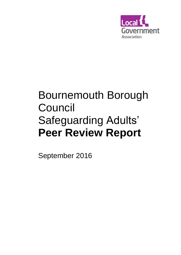

# Bournemouth Borough Council Safeguarding Adults' **Peer Review Report**

September 2016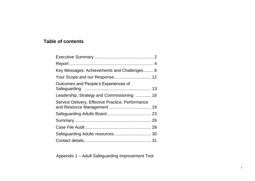# **Table of contents**

| Key Messages: Achievements and Challenges 8       |  |
|---------------------------------------------------|--|
| Your Scope and our Response 12                    |  |
| Outcomes and People's Experiences of              |  |
| Leadership, Strategy and Commissioning  16        |  |
| Service Delivery, Effective Practice, Performance |  |
|                                                   |  |
|                                                   |  |
|                                                   |  |
|                                                   |  |
|                                                   |  |

Appendix 1 – Adult Safeguarding Improvement Tool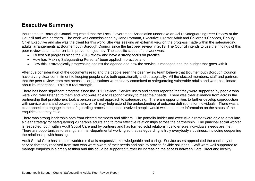# **Executive Summary**

Bournemouth Borough Council requested that the Local Government Association undertake an Adult Safeguarding Peer Review at the Council and with partners. The work was commissioned by Jane Portman, Executive Director Adult and Children's Services, Deputy Chief Executive and she was the client for this work. She was seeking an external view on the progress made within the safeguarding adults' arrangements at Bournemouth Borough Council since the last peer review in 2013. The Council intends to use the findings of this peer review as a marker on its improvement journey. The specific scope of the work was:

- To test out progress since the 2013 review and have a strong focus on practice
- How has 'Making Safeguarding Personal' been applied in practice and
- How this is strategically progressing against the agenda and how the service is managed and the budget that goes with it.

After due consideration of the documents read and the people seen the peer review team believe that Bournemouth Borough Council have a very clear commitment to keeping people safe, both operationally and strategically. All the elected members, staff and partners that the peer review team met across all organisations were clearly committed to safeguarding vulnerable adults and were passionate about its importance. This is a real strength.

There has been significant progress since the 2013 review. Service users and carers reported that they were supported by people who were kind, who listened to them and who were able to respond flexibly to meet their needs. There was clear evidence from across the partnership that practitioners took a person centred approach to safeguarding. There are opportunities to further develop coproduction with service users and between partners, which may help extend the understanding of outcome definitions for individuals. There was a clear appetite to engage in the safeguarding process and once involved people would welcome more information on the status of the enquiries that they raise.

There was strong leadership both from elected members and officers. The portfolio holder and executive director were able to articulate a clear strategy for safeguarding vulnerable adults and to form effective relationships across the partnership. The principal social worker is respected, both within Adult Social Care and by partners and has formed solid relationships to ensure individuals' needs are met. There are opportunities to strengthen inter-departmental working so that safeguarding is truly everybody's business, including deepening the relationship with housing.

Adult Social Care has a stable workforce that is responsive, knowledgeable and caring. Service users appreciated the continuity of service that they received from staff who were aware of their needs and able to provide flexible solutions. Staff were well supported to manage enquires in a timely fashion and this could be supported further by increasing the access between Care Direct and locality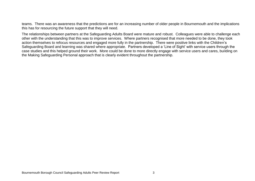teams. There was an awareness that the predictions are for an increasing number of older people in Bournemouth and the implications this has for resourcing the future support that they will need.

The relationships between partners at the Safeguarding Adults Board were mature and robust. Colleagues were able to challenge each other with the understanding that this was to improve services. Where partners recognised that more needed to be done, they took action themselves to refocus resources and engaged more fully in the partnership. There were positive links with the Children's Safeguarding Board and learning was shared where appropriate. Partners developed a 'Line of Sight' with service users through the case studies and this helped ground their work. More could be done to more directly engage with service users and cares, building on the Making Safeguarding Personal approach that is clearly evident throughout the partnership.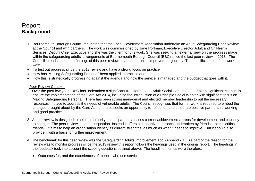# <span id="page-4-0"></span>Report **Background**

- 1. Bournemouth Borough Council requested that the Local Government Association undertake an Adult Safeguarding Peer Review at the Council and with partners. The work was commissioned by Jane Portman, Executive Director Adult and Children's Services, Deputy Chief Executive and she was the client for this work. She was seeking an external view on the progress made within the safeguarding adults' arrangements at Bournemouth Borough Council (BBC) since the last peer review in 2013. The Council intends to use the findings of this peer review as a marker on its improvement journey. The specific scope of the work was:
- To test out progress since the 2013 review and have a strong focus on practice
- How has 'Making Safeguarding Personal' been applied in practice and
- How this is strategically progressing against the agenda and how the service is managed and the budget that goes with it.

#### Peer Review Context:

- 2. Over the past few years BBC has undertaken a significant transformation. Adult Social Care has undertaken significant change to ensure the implementation of the Care Act 2014, including the introduction of a Principle Social Worker with significant focus on Making Safeguarding Personal. There has been strong managerial and elected member leadership to put the necessary resources in place to address the needs of vulnerable adults. The Council recognises that further work is required to embed the changes brought about by the Care Act, and also seeks an opportunity to reflect on and celebrate positive partnership working and good practice.
- 3. A peer review is designed to help an authority and its partners assess current achievements, areas for development and capacity to change. The peer review is not an inspection. Instead it offers a supportive approach, undertaken by friends – albeit 'critical friends'. It aims to help an organisation identify its current strengths, as much as what it needs to improve. But it should also provide it with a basis for further improvement.
- 4. The benchmark for this peer review was the Safeguarding Adults Improvement Tool (Appendix 1). As part of the reason for the review was to monitor progress since the 2013 review this report follows the headings used in the original report. The headings in the feedback took into account the scoping questions outlined above. The headline themes were therefore:
	- Outcomes for, and the experiences of, people who use services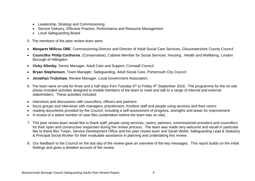- Leadership, Strategy and Commissioning
- Service Delivery, Effective Practice, Performance and Resource Management
- Local Safeguarding Board
- 5. The members of the peer review team were:
- **Margaret Willcox OBE**, Commissioning Director and Director of Adult Social Care Services, Gloucestershire County Council
- **Councillor Philip Corthorne**, (Conservative), Cabinet Member for Social Services, Housing , Health and Wellbeing, London Borough of Hillingdon
- **Vicky Allonby**, Senior Manager, Adult Care and Support, Cornwall Council
- **Bryan Stephenson**, Team Manager, Safeguarding, Adult Social Care, Portsmouth City Council
- **Jonathan Trubshaw**, Review Manager, Local Government Association
- 6. The team were on-site for three and a half days from Tuesday 6<sup>th</sup> to Friday 4<sup>th</sup> September 2016. The programme for the on-site phase included activities designed to enable members of the team to meet and talk to a range of internal and external stakeholders. These activities included:
- interviews and discussions with councillors, officers and partners
- focus groups and interviews with managers, practitioners, frontline staff and people using services and their carers
- reading documents provided by the Council, including a self-assessment of progress, strengths and areas for improvement
- A review of a select number of case files (undertaken before the team was on site).
- 7. The peer review team would like to thank staff, people using services, carers, partners, commissioned providers and councillors for their open and constructive responses during the review process. The team was made very welcome and would in particular like to thank Bev Turpin, Service Development Office and her peer review team and Sarah Webb, Safeguarding Lead & Statutory & Principal Social Worker for their invaluable assistance in planning and undertaking this review.
- 8. Our feedback to the Council on the last day of the review gave an overview of the key messages. This report builds on the initial findings and gives a detailed account of the review.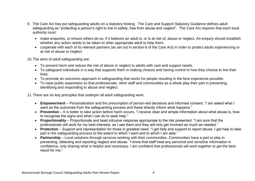- 9. The Care Act has put safeguarding adults on a statutory footing. The Care and Support Statutory Guidance defines adult safeguarding as "protecting a person's right to live in safety, free from abuse and neglect". The Care Act requires that each local authority must:
	- make enquiries, or ensure others do so, if it believes an adult is, or is at risk of, abuse or neglect. An enquiry should establish whether any action needs to be taken to other appropriate adult to help them.
	- cooperate with each of its relevant partners (as set out in section 6 of the Care Act) in order to protect adults experiencing or at risk of abuse or neglect

10.The aims of adult safeguarding are:

- To prevent harm and reduce the risk of abuse or neglect to adults with care and support needs.
- To safeguard individuals in a way that supports them in making choices and having control in how they choose to live their lives.
- To promote an outcomes approach in safeguarding that works for people resulting in the best experience possible.
- To raise public awareness so that professionals, other staff and communities as a whole play their part in preventing, identifying and responding to abuse and neglect.

11.There are six key principles that underpin all adult safeguarding work:

- **Empowerment** Personalisation and the presumption of person-led decisions and informed consent. "I am asked what I want as the outcomes from the safeguarding process and these directly inform what happens."
- **Prevention** It is better to take action before harm occurs. "I receive clear and simple information about what abuse is, how to recognise the signs and what I can do to seek help."
- **Proportionality** Proportionate and least intrusive response appropriate to the risk presented. "I am sure that the professionals will work for my best interests, as I see them and they will only get involved as much as needed."
- **Protection** Support and representation for those in greatest need. "I get help and support to report abuse. I get help to take part in the safeguarding process to the extent to which I want and to which I am able."
- **Partnership** Local solutions through services working with their communities. Communities have a part to play in preventing, detecting and reporting neglect and abuse. "I know that staff treat any personal and sensitive information in confidence, only sharing what is helpful and necessary. I am confident that professionals will work together to get the best result for me."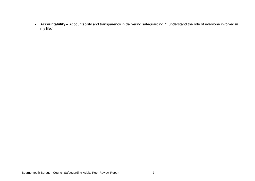**Accountability** – Accountability and transparency in delivering safeguarding. "I understand the role of everyone involved in my life."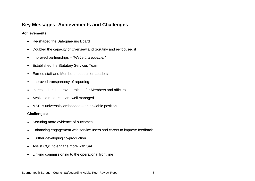## <span id="page-8-0"></span>**Key Messages: Achievements and Challenges**

#### **Achievements:**

- Re-shaped the Safeguarding Board
- Doubled the capacity of Overview and Scrutiny and re-focused it
- Improved partnerships "*We're in it together*"
- Established the Statutory Services Team
- Earned staff and Members respect for Leaders
- Improved transparency of reporting
- Increased and improved training for Members and officers
- Available resources are well managed
- MSP is universally embedded an enviable position

#### **Challenges:**

- Securing more evidence of outcomes
- Enhancing engagement with service users and carers to improve feedback
- Further developing co-production
- Assist CQC to engage more with SAB
- Linking commissioning to the operational front line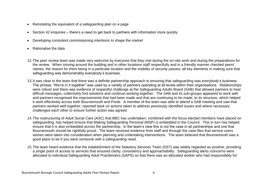- Reinstating the equivalent of a safeguarding plan on a page
- Section 42 enquiries there's a need to get back to partners with information more quickly
- Developing consistent commissioning intentions to shape the market
- Rationalise the data
- 12.The peer review team was made very welcome by everyone that they met during the on-site work and during the preparations for the review. When moving around the building and in other locations staff respectfully and in a friendly manner checked peers' names, the reason for them being in a particular location and the visibility of security passes; all key elements in making sure that safeguarding was demonstrably everybody's business.
- 13.It was clear to the team that there was a definite partnership approach to ensuring that safeguarding was everybody's business. The phrase, "We're in it together" was used by a variety of partners operating at all levels within their organisations. Relationships were robust and there was evidence of respectful challenge at the Safeguarding Adults Board (SAB) that allowed partners to hear difficult messages, collectively find solutions and continue working together. The SAB and its sub-groups appeared to work well and partners recognised the improvements that had been made and that are continuing to be made, to its structure, which helped it work effectively across both Bournemouth and Poole. A member of the team was able to attend a SAB meeting and saw that partners worked well together, reported back on actions taken to address previously identified issues and where necessary challenged each other to ensure further action was agreed.
- 14.The restructuring of Adult Social Care (ASC) that BBC has undertaken, combined with the focus elected members have placed on safeguarding, has helped ensure that Making Safeguarding Personal (MSP) is embedded in the Council. This in turn has helped ensure that it is also embedded across the partnership. In the team's view this is not the case in all partnerships and one that Bournemouth should be rightfully proud. The team received evidence from staff and through the case files that service users wishes were taken into consideration when planning and undertaking interventions. The team believed that Bournemouth was a good place to be if you were someone with a safeguarding need.
- 15.The team heard evidence that the establishment of the Statutory Services Team (SST) was widely regarded as positive, providing a single point of access to services that ensured clarity, consistency and approachability. Safeguarding alerts /concerns were allocated to individual Safeguarding Adult Practitioners (SAPS) so that there was an allocated worker who had responsibility for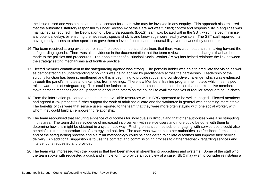the issue raised and was a constant point of contact for others who may be involved in any enquiry. This approach also ensured that the authority's statutory responsibility under Section 42 of the Care Act was fulfilled; control and responsibility in enquiries was maintained as required. The Deprivation of Liberty Safeguards (DoLS) team was located within the SST, which helped minimise any potential delays by ensuring the necessary specialist skills and knowledge were readily available. The SST staff reported that having ready access to other specialists gave them a level of control and accountability over the work they undertook.

- 16.The team received strong evidence from staff, elected members and partners that there was clear leadership in taking forward the safeguarding agenda. There was also evidence in the documentation that the team reviewed and in the changes that had been made to the policies and procedures. The appointment of a Principal Social Worker (PSW) has helped reinforce the link between the strategy setting mechanisms and frontline practice.
- 17.Elected member commitment to the safeguarding agenda was strong. The portfolio holder was able to articulate the vision as well as demonstrating an understanding of how this was being applied by practitioners across the partnership. Leadership of the scrutiny function has been strengthened and this is beginning to provide robust and constructive challenge, which was evidenced through the panel's minutes and examples from meetings. There is a Members' training programme in place which has helped raise awareness of safeguarding. This could be further strengthened to build on the contribution that non-executive members make at these meetings and equip them to encourage others on the council to avail themselves of regular safeguarding up-dates.
- 18.From the information presented to the team the available resources within BBC appeared to be well managed. Elected members had agreed a 2% precept to further support the work of adult social care and the workforce in general was becoming more stable. The benefits of this were that service users reported to the team that they were more often staying with one social worker, with whom they could build an empowering relationship.
- 19.The team recognised that securing evidence of outcomes for individuals is difficult and that other authorities were also struggling in this area. The team did see evidence of increased involvement with service users and more could be done with them to determine how this might be obtained in a systematic way. Finding enhanced methods of engaging with service users could also be helpful in further coproduction of strategy and policies. The team was aware that other authorities use feedback forms at the end of the safeguarding process and a similar methodology could be considered to collate outcomes and improve their service delivery. An additional suggestion is to use the contract and commissioning process to gather feedback regarding services and interventions requested and provided.
- 20.The team was impressed with the progress that had been made in streamlining procedures and systems. Some of the staff who the team spoke with requested a quick and simple form to provide an overview of a case. BBC may wish to consider reinstating a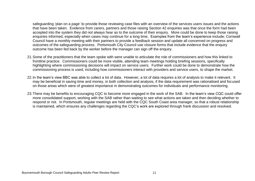safeguarding 'plan on a page' to provide those reviewing case files with an overview of the services users issues and the actions that have been taken. Evidence from carers, partners and those raising Section 42 enquiries was that once the form had been accepted into the system they did not always hear as to the outcome of their enquiry. More could be done to keep those raising enquiries informed, especially when cases may continue for a long time. Examples from the team's experience include; Cornwall Council have a monthly meeting with their partners to provide a feedback session and update all concerned on progress and outcomes of the safeguarding process. Portsmouth City Council use closure forms that include evidence that the enquiry outcome has been fed back by the worker before the manager can sign off the enquiry.

- 21.Some of the practitioners that the team spoke with were unable to articulate the role of commissioners and how this linked to frontline practice. Commissioners could be more visible, attending team meetings holding briefing sessions, specifically highlighting where commissioning decisions will impact on service users. Further work could be done to demonstrate how the commissioning process is used, including how commissioners interact with providers and service users, to shape the market.
- 22.In the team's view BBC was able to collect a lot of data. However, a lot of data requires a lot of analysis to make it relevant. It may be beneficial in saving time and money, in both collection and analysis, if the data requirement was rationalised and focused on those areas which were of greatest importance in demonstrating outcomes for individuals and performance monitoring.
- 23.There may be benefits to encouraging CQC to become more engaged in the work of the SAB. In the team's view CQC could offer more consolidated support, working with the SAB rather than waiting to see what actions are taken and then deciding whether to respond or not. In Portsmouth, regular meetings are held with the CQC South Coast area manager, so that a robust relationship is maintained, which ensures any challenges regarding the CQC's work are explored through frank discussion and resolved.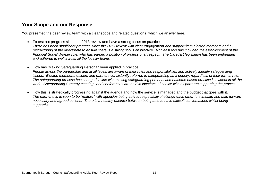## **Your Scope and our Response**

You presented the peer review team with a clear scope and related questions, which we answer here.

- To test out progress since the 2013 review and have a strong focus on practice *There has been significant progress since the 2013 review with clear engagement and support from elected members and a restructuring of the directorate to ensure there is a strong focus on practice. Not least this has included the establishment of the Principal Social Worker role, who has earned a position of professional respect. The Care Act legislation has been embedded and adhered to well across all the locality teams.*
- How has 'Making Safeguarding Personal' been applied in practice *People across the partnership and at all levels are aware of their roles and responsibilities and actively identify safeguarding issues. Elected members, officers and partners consistently referred to safeguarding as a priority, regardless of their formal role. The safeguarding process has changed in line with making safeguarding personal and outcome based practice is evident in all the work. Safeguarding Strategy meetings and conferences are held in locations of choice with all partners supporting the process.*
- How this is strategically progressing against the agenda and how the service is managed and the budget that goes with it. *The partnership is seen to be "mature" with agencies being able to respectfully challenge each other to stimulate and take forward necessary and agreed actions. There is a healthy balance between being able to have difficult conversations whilst being supportive.*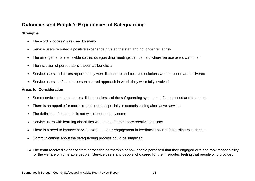## **Outcomes and People's Experiences of Safeguarding**

#### **Strengths**

- The word 'kindness' was used by many
- Service users reported a positive experience, trusted the staff and no longer felt at risk
- The arrangements are flexible so that safeguarding meetings can be held where service users want them
- The inclusion of perpetrators is seen as beneficial
- Service users and carers reported they were listened to and believed solutions were actioned and delivered
- Service users confirmed a person centred approach in which they were fully involved

#### **Areas for Consideration**

- Some service users and carers did not understand the safeguarding system and felt confused and frustrated
- There is an appetite for more co-production, especially in commissioning alternative services
- The definition of outcomes is not well understood by some
- Service users with learning disabilities would benefit from more creative solutions
- There is a need to improve service user and carer engagement in feedback about safeguarding experiences
- Communications about the safeguarding process could be simplified
- 24.The team received evidence from across the partnership of how people perceived that they engaged with and took responsibility for the welfare of vulnerable people. Service users and people who cared for them reported feeling that people who provided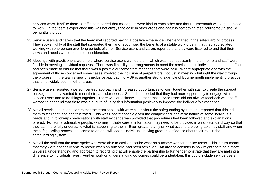services were "kind" to them. Staff also reported that colleagues were kind to each other and that Bournemouth was a good place to work. In the team's experience this was not always the case in other areas and again is something that Bournemouth should be rightfully proud.

- 25.Service users and carers that the team met reported having a positive experience when engaged in the safeguarding process. They spoke highly of the staff that supported them and recognised the benefits of a stable workforce in that they appreciated working with one person over long periods of time. Service users and carers reported that they were listened to and that their views and needs were taken into consideration.
- 26.Meetings with practitioners were held where service users wanted them, which was not necessarily in their home and staff were flexible in meeting individual requests. There was flexibility in arrangements to meet the service user's individual needs and effort had been made to ensure that there was a positive outcome from meetings that were held. Where appropriate and with the agreement of those concerned some cases involved the inclusion of perpetrators, not just in meetings but right the way through the process. In the team's view this inclusive approach to MSP is another strong example of Bournemouth implementing practice that is not widely seen in other areas.
- 27.Service users reported a person centred approach and increased opportunities to work together with staff to create the support package that they wanted to meet their particular needs. Staff also reported that they had more opportunity to engage with service users and to do things together. There was an acknowledgement that service users did not always feedback what staff wanted to hear and that there was a culture of using this information positively to improve the individual's experience.
- 28.Not all service users and carers that the team spoke with were clear about the safeguarding system and reported that this led them to feel confused and frustrated. This was understandable given the complex and long-term nature of some individuals' needs and in follow-up conversations with staff evidence was provided that procedures had been followed and explanations offered. For some vulnerable people, who may include carers, information may need to be provided in a non-standard way so that they can more fully understand what is happening to them. Even greater clarity on what actions are being taken by staff and when the safeguarding process has come to an end will lead to individuals having greater confidence about their role in the safeguarding system.
- 29.Not all the staff that the team spoke with were able to easily describe what an outcome was for service users. This in turn meant that they were not easily able to record when an outcome had been achieved. An area to consider is how might there be a more universal understanding and approach to recording that will enable the partnership to further demonstrate that they are making a difference to individuals' lives. Further work on understanding outcomes could be undertaken; this could include service users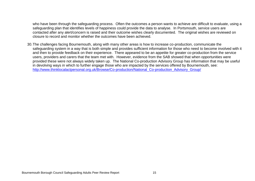who have been through the safeguarding process. Often the outcomes a person wants to achieve are difficult to evaluate, using a safeguarding plan that identifies levels of happiness could provide the data to analyse. In Portsmouth, service users are contacted after any alert/concern is raised and their outcome wishes clearly documented. The original wishes are reviewed on closure to record and monitor whether the outcomes have been achieved.

30.The challenges facing Bournemouth, along with many other areas is how to increase co-production, communicate the safeguarding system in a way that is both simple and provides sufficient information for those who need to become involved with it and then to provide feedback on their experience. There appeared to be an appetite for greater co-production from the service users, providers and carers that the team met with. However, evidence from the SAB showed that when opportunities were provided these were not always widely taken up. The National Co-production Advisory Group has information that may be useful in devolving ways in which to further engage those who are impacted by the services offered by Bournemouth, see: [http://www.thinklocalactpersonal.org.uk/Browse/Co-production/National\\_Co-production\\_Advisory\\_Group/](http://www.thinklocalactpersonal.org.uk/Browse/Co-production/National_Co-production_Advisory_Group/)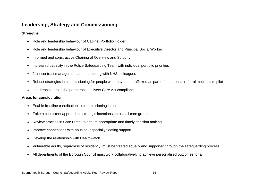## **Leadership, Strategy and Commissioning**

#### **Strengths**

- Role and leadership behaviour of Cabinet Portfolio Holder
- Role and leadership behaviour of Executive Director and Principal Social Worker
- Informed and constructive Chairing of Overview and Scrutiny
- Increased capacity in the Police Safeguarding Team with individual portfolio priorities
- Joint contract management and monitoring with NHS colleagues
- Robust strategies in commissioning for people who may been trafficked as part of the national referral mechanism pilot
- Leadership across the partnership delivers Care Act compliance

#### **Areas for consideration**

- Enable frontline contribution to commissioning intentions
- Take a consistent approach to strategic intentions across all care groups
- Review process in Care Direct to ensure appropriate and timely decision making
- Improve connections with housing, especially floating support
- Develop the relationship with Healthwatch
- Vulnerable adults, regardless of residency, must be treated equally and supported through the safeguarding process
- All departments of the Borough Council must work collaboratively to achieve personalised outcomes for all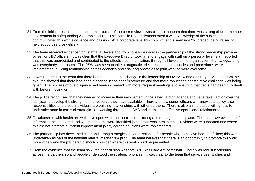- 31.From the initial presentation to the team at outset of the peer review it was clear to the team that there was strong elected member involvement in safeguarding vulnerable adults. The Portfolio Holder demonstrated a wide knowledge of the subject and communicated this with eloquence and passion. At a corporate level this commitment is seen in a 2% precept being raised to help support service delivery.
- 32.The team received evidence from staff at all levels and from colleagues across the partnership of the strong leadership provided by senior BBC officers. It was clear that the Executive Director took time to engage with staff on a personal level; staff reported that this was appreciated and contributed to the effective communication, through all levels of the organisation, that safeguarding was everybody's business. The PSW was seen to take a pragmatic role in ensuring that policies and procedures were implemented, building relationships across agencies and ensuring obstacles to joint working were overcome.
- 33.It was reported to the team that there had been a notable change in the leadership of Overview and Scrutiny. Evidence from the minutes showed that there had been a change in the panel's structure and that more robust and constructive challenge was being given. The process of due diligence had been increased with more frequent meetings and ensuring that items had been fully dealt with before moving on.
- 34.The police recognised that they needed to increase their involvement in the safeguarding agenda and have taken action over the last year to develop the strength of the resource they have available. There are now senior officers with individual policy area responsibilities and these individuals are building relationships with other partners. There is also an increased willingness to undertake more in terms of strategic joint working through the SAB and in ensuring effective operational relationships.
- 35.Relationships with health are well developed with joint contract monitoring and management in place. The team saw evidence of information being shared and where concerns were identified joint action was then taken. Providers were supported and where this did not promote sufficient improvement jointly agreed solutions were implemented.
- 36.The partnership has developed clear and strong strategies in commissioning for people who may have been trafficked; this was undertaken as part of the national referral mechanism pilot. The team believes that there is an opportunity to promote this work more widely and the partnership should consider where this work could be presented.
- 37.From the evidence that the team saw, their conclusion was that BBC was Care Act compliant. There was robust leadership across the partnership and people understood the strategic priorities. It was clear to the team that service user wishes and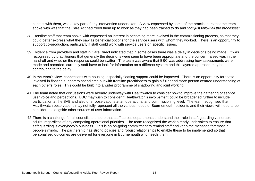contact with them, was a key part of any intervention undertaken. A view expressed by some of the practitioners that the team spoke with was that the Care Act had freed them up to work as they had been trained to do and "*not just follow all the processes*".

- 38.Frontline staff that team spoke with expressed an interest in becoming more involved in the commissioning process, so that they could better express what they saw as beneficial options for the service users with whom they worked. There is an opportunity to support co-production, particularly if staff could work with service users on specific issues.
- 39.Evidence from providers and staff in Care Direct indicated that in some cases there was a delay in decisions being made. It was recognised by practitioners that generally the decisions were seen to have been appropriate and the concern raised was in the hand-off and whether the response could be swifter. The team was aware that BBC was addressing how assessments were made and recorded; currently staff have to look for information on a different system and this layered approach may be contributing to the delay.
- 40.In the team's view, connections with housing, especially floating support could be improved. There is an opportunity for those involved in floating support to spend time out with frontline practitioners to gain a fuller and more person centred understanding of each other's roles. This could be built into a wider programme of shadowing and joint working.
- 41.The team noted that discussions were already underway with Healthwatch to consider how to improve the gathering of service user voice and perceptions. BBC may wish to consider if Healthwatch's involvement could be broadened further to include participation at the SAB and also offer observations at an operational and commissioning level. The team recognised that Healthwatch observations may not fully represent all the various needs of Bournemouth residents and their views will need to be considered alongside other sources of user information.
- 42.There is a challenge for all councils to ensure that staff across departments understand their role in safeguarding vulnerable adults, regardless of any competing operational priorities. The team recognised the work already undertaken to ensure that safeguarding is everybody's business. This is an on-going commitment to remind staff and keep the message foremost in people's minds. The partnership has strong policies and robust relationships to enable these to be implemented so that personalised outcomes are delivered for everyone in Bournemouth who needs them.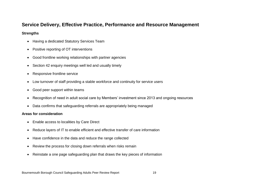## **Service Delivery, Effective Practice, Performance and Resource Management**

#### **Strengths**

- Having a dedicated Statutory Services Team
- Positive reporting of OT interventions
- Good frontline working relationships with partner agencies
- Section 42 enquiry meetings well led and usually timely
- Responsive frontline service
- Low turnover of staff providing a stable workforce and continuity for service users
- Good peer support within teams
- Recognition of need in adult social care by Members' investment since 2013 and ongoing resources
- Data confirms that safeguarding referrals are appropriately being managed

#### **Areas for consideration**

- Enable access to localities by Care Direct
- Reduce layers of IT to enable efficient and effective transfer of care information
- Have confidence in the data and reduce the range collected
- Review the process for closing down referrals when risks remain
- Reinstate a one page safeguarding plan that draws the key pieces of information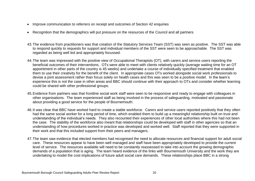- Improve communication to referrers on receipt and outcomes of Section 42 enquiries
- Recognition that the demographics will put pressure on the resources of the Council and all partners
- 43.The evidence from practitioners was that creation of the Statutory Services Team (SST) was seen as positive. The SST was able to respond quickly to requests for support and individual members of the SST were seen to be approachable. The SST was regarded as being well led and appropriately focussed.
- 44.The team was impressed with the positive view of Occupational Therapists (OT), with carers and service users reporting the beneficial outcomes of their interventions. OTs were able to meet with clients relatively quickly (average waiting time for an OT appointment in other parts of the country is 45 weeks) and undertake a course of individually specified treatment that enabled them to use their creativity for the benefit of the client. In appropriate cases OTs worked alongside social work professionals to devise a joint assessment rather than focus solely on health cases and this was seen to be a positive model. In the team's experience this is not the case in other areas and BBC should continue with their approach to OTs and consider whether learning could be shared with other professional groups.
- 45.Evidence from partners was that frontline social work staff were seen to be responsive and ready to engage with colleagues in other organisations. The team experienced staff as being involved in the process of safeguarding, motivated and passionate about providing a good service for the people of Bournemouth.
- 46.It was clear that BBC have worked hard to create a stable workforce. Carers and service users reported positively that they often had the same social worker for a long period of time, which enabled them to build up a meaningful relationship built on trust and understanding of the individual's needs. They also recounted their experiences of other local authorities where this had not been the case. The stability of the workforce also meant that relationships could be developed with staff in other agencies so that an understanding of how procedures worked in practice was developed and worked well. Staff reported that they were supported in their work and that this included support from their peers and managers.
- 47.The team saw evidence that elected members had recognised the need to allocate resources and financial support for adult social care. These resources appear to have been well managed and staff have been appropriately developed to provide the current level of service. The resources available will need to be constantly reassessed to take into account the growing demographic demands of a population that is aging. The team heard evidence of the links with Bournemouth University and the work they are undertaking to model the cost implications of future adult social care demands. These relationships place BBC in a strong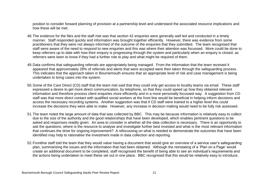position to consider forward planning of provision at a partnership level and understand the associated resource implications and how these will be met.

- 48.The evidence for the files and the staff met was that section 42 enquiries were generally well led and conducted in a timely manner. Staff responded quickly and information was brought together efficiently. However, there was evidence from some practitioners that they were not always informed of the outcome of the enquiries that they submitted. The team recognised that staff were aware of the need to respond to new enquiries and this was where their attention was focussed. More could be done to keep referrers up to date with how their enquiry is progressing through the system and particularly when an enquiry is closed, as referrers were keen to know if they had a further role to play and what might be required of them.
- 49.Data confirms that safeguarding referrals are appropriately being managed. From the information that the team received it appeared that approximately 28% of referrals and alerts that were accepted were then taken through the safeguarding process. This indicates that the approach taken in Bournemouth ensures that an appropriate level of risk and case management is being undertaken to bring cases into the system.
- 50.Some of the Care Direct (CD) staff that the team met said that they could only get access to locality teams via email. These staff expressed a desire to get more direct communication, by telephone, so that they could speed up how they obtained relevant information and therefore process client enquiries more efficiently and in a more personally focussed way. A suggestion from CD staff was that more direct contact with qualified social workers at the front line would be beneficial in helping inform decisions and access the necessary recording systems. Another suggestion was that if CD staff were trained to a higher level this could increase the decisions they were able to make. However, any increase in decision making would need to be fully risk assessed.
- 51.The team noted the large amount of data that was collected by BBC. This may be because information is relatively easy to collect due to the size of the authority and the good relationships that have been developed, which enables pertinent questions to be asked and responses readily given. An area to consider is whether all the data collection is necessary. There is an opportunity to ask the questions; where is the resource to analyse and investigate further best invested and what is the most relevant information that continues the drive for ongoing improvement? A refocussing on what is needed to demonstrate the outcomes that have been identified may help to rationalise the investment made in data collection and reporting.
- 52.Frontline staff told the team that they would value having a document that would give an overview of a service user's safeguarding plan, summarising the issues and the information that had been obtained. Although the reinstating of a 'Plan on a Page' would create an additional document to be completed, staff recognised the benefit of being able to see an individual's requirements and the actions being undertaken to meet these set out in one place. BBC recognised that this would be relatively easy to introduce,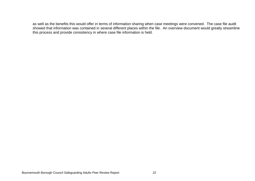as well as the benefits this would offer in terms of information sharing when case meetings were convened. The case file audit showed that information was contained in several different places within the file. An overview document would greatly streamline this process and provide consistency in where case file information is held.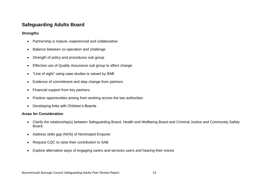## **Safeguarding Adults Board**

#### **Strengths**

- Partnership is mature, experienced and collaborative
- Balance between co-operation and challenge
- Strength of policy and procedures sub group
- Effective use of Quality Assurance sub group to affect change
- "Line of sight" using case studies is valued by SAB
- Evidence of commitment and step change from partners
- Financial support from key partners
- Positive opportunities arising from working across the two authorities
- Developing links with Children's Boards

#### **Areas for Consideration**

- Clarify the relationship(s) between Safeguarding Board, Health and Wellbeing Board and Criminal Justice and Community Safety Board.
- Address skills gap (NHS) of Nominated Enquirer
- Request CQC to raise their contribution to SAB
- Explore alternative ways of engaging carers and services users and hearing their voices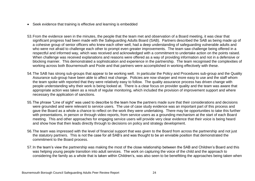- Seek evidence that training is effective and learning is embedded
- 53.From the evidence seen in the minutes, the people that the team met and observation of a Board meeting, it was clear that significant progress had been made with the Safeguarding Adults Board (SAB). Partners described the SAB as being made up of a cohesive group of senior officers who knew each other well, had a deep understanding of safeguarding vulnerable adults and who were not afraid to challenge each other to prompt even greater improvements. The team saw challenge being offered in a respectful and informed way, which was received and acknowledged with a commitment to undertake action on the points raised. When challenge was received explanations and reasons were offered as a way of providing information and not in a defensive or blocking manner. This demonstrated a sophistication and experience in the partnership. The team recognised the complexities of working across both Bournemouth and Poole and that partners were accomplished in working effectively with these.
- 54.The SAB has strong sub-groups that appear to be working well. In particular the Policy and Procedures sub-group and the Quality Assurance sub-group have been able to affect real change. Policies are now sharper and more easy to use and the staff whom the team spoke with reported that they were relatively easy to follow. The quality assurance process has driven change with people understanding why their work is being looked at. There is a clear focus on provider quality and the team was aware that appropriate action was taken as a result of regular monitoring, which included the provision of improvement support and where necessary the application of sanctions.
- 55.The phrase "Line of sight" was used to describe to the team how the partners made sure that their considerations and decisions were grounded and were relevant to service users. The use of case study evidence was an important part of this process and gave the Board as a whole a chance to reflect on the work they were undertaking. There may be opportunities to take this further with presentations, in person or through video reports, from service users as a grounding mechanism at the start of each Board meeting. This and other approaches for engaging service users will provide very clear evidence that their voice is being heard and show how that then leads directly through to decisions on policy and strategy development.
- 56.The team was impressed with the level of financial support that was given to the Board from across the partnership and not just the statutory partners. This is not the case for all SAB's and was thought to be an enviable position that demonstrated the commitment to the Board process.
- 57.In the team's view the partnership was making the most of the close relationship between the SAB and Children's Board and this was helping young people transition into adult services. The work on capturing the voice of the child and the approach to considering the family as a whole that is taken within Children's, was also seen to be benefitting the approaches being taken when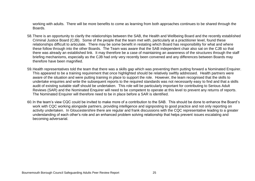working with adults. There will be more benefits to come as learning from both approaches continues to be shared through the Boards.

- 58.There is an opportunity to clarify the relationships between the SAB, the Health and Wellbeing Board and the recently established Criminal Justice Board (CJB). Some of the people that the team met with, particularly at a practitioner level, found these relationships difficult to articulate. There may be some benefit in restating which Board has responsibility for what and where these follow through into the other Boards. The Team was aware that the SAB independent chair also sat on the CJB so that there was already an established link. It may therefore be a case of maintaining an awareness of the structures through the staff briefing mechanisms, especially as the CJB had only very recently been convened and any differences between Boards may therefore have been magnified.
- 59.Health representatives told the team that there was a skills gap which was preventing them putting forward a Nominated Enquirer. This appeared to be a training requirement that once highlighted should be relatively swiftly addressed. Health partners were aware of the situation and were putting training in place to support the role. However, the team recognised that the skills to undertake enquiries and write the subsequent reports to the required standards was not necessarily easy to find and that a skills audit of existing suitable staff should be undertaken. This role will be particularly important for contributing to Serious Adult Reviews (SAR) and the Nominated Enquirer will need to be competent to operate at this level to prevent any returns of reports. The Nominated Enquirer will therefore need to be in place before a SAR is identified.
- 60.In the team's view CQC could be invited to make more of a contribution to the SAB. This should be done to enhance the Board's work with CQC working alongside partners, providing intelligence and signposting to good practice and not only reporting on activity undertaken. In Gloucestershire there are regular and frank discussions with the CQC representative leading to a greater understanding of each other's role and an enhanced problem solving relationship that helps prevent issues escalating and becoming adversarial.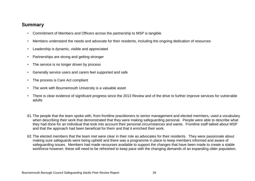## **Summary**

- Commitment of Members and Officers across the partnership to MSP is tangible
- Members understand the needs and advocate for their residents, including the ongoing dedication of resources
- Leadership is dynamic, visible and appreciated
- Partnerships are strong and getting stronger
- The service is no longer driven by process
- Generally service users and carers feel supported and safe
- The process is Care Act compliant
- The work with Bournemouth University is a valuable asset
- There is clear evidence of significant progress since the 2013 Review and of the drive to further improve services for vulnerable adults
- 61.The people that the team spoke with, from frontline practitioners to senior management and elected members, used a vocabulary when describing their work that demonstrated that they were making safeguarding personal. People were able to describe what they had done for an individual that took into account their personal circumstances and wants. Frontline staff talked about MSP and that the approach had been beneficial for them and that it enriched their work.
- 62.The elected members that the team met were clear in their role as advocates for their residents. They were passionate about making sure safeguards were being upheld and there was a programme in place to keep members informed and aware of safeguarding issues. Members had made recourses available to support the changes that have been made to create a stable workforce however; these will need to be refreshed to keep pace with the changing demands of an expanding older population.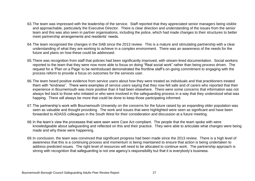- 63.The team was impressed with the leadership of the service. Staff reported that they appreciated senior managers being visible and approachable, particularly the Executive Director. There is clear direction and understanding of the issues from the senior team and this was also seen in partner organisations, including the police, which had made changes to their structures to better meet partnership arrangements and residents' needs.
- 64.The team recognised the changes in the SAB since the 2013 review. This is a mature and stimulating partnership with a clear understanding of what they are working to achieve in a complex environment. There was an awareness of the needs for the future and plans on how these could be addressed.
- 65.There was recognition from staff that policies had been significantly improved, with stream-lined documentation. Social workers reported to the team that they were now more able to focus on doing "Real social work" rather than being process driven. The request for a 'Plan on a Page' to be reintroduced demonstrated the frontline staff's on-going commitment to engaging with the process reform to provide a focus on outcomes for the services user.
- 66.The team heard positive evidence from service users about how they were treated as individuals and that practitioners treated them with "kindness". There were examples of service users saying that they now felt safe and of carers who reported that their experience in Bournemouth was more positive than it had been elsewhere. There were some concerns that information was not always fed back to those who initiated or who were involved in the safeguarding process in a way that they understood what was happing. There will always be more that could be done to keep those participating informed.
- 67.The partnership's work with Bournemouth University on the concerns for the future raised by an expanding older population was seen as valuable and thought provoking. The work and issues that were highlighted were seen as significant and have been forwarded to ADASS colleagues in the South West for their consideration and discussion at a future meeting.
- 68.In the team's view the processes that were seen were Care Act compliant. The people that the team spoke with were knowledgeable about safeguarding and reflected on this and their practice. They were able to articulate what changes were being made and why these were happening.
- 69.In conclusion, the team was convinced that significant progress had been made since the 2013 review. There is a high level of awareness that this is a continuing process and momentum is being maintained to ensure that action is being undertaken to address predicted issues. The right level of resources will need to be allocated to continue work. The partnership approach is strong with recognition that safeguarding is not one agency's responsibility but that it is everybody's business.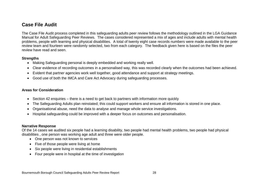## **Case File Audit**

The Case File Audit process completed in this safeguarding adults peer review follows the methodology outlined in the LGA Guidance Manual for Adult Safeguarding Peer Reviews. The cases considered represented a mix of ages and include adults with mental health problems, people with learning and physical disabilities. A total of twenty eight case records numbers were made available to the peer review team and fourteen were randomly selected, two from each category. The feedback given here is based on the files the peer review have read and seen.

#### **Strengths**

- Making Safeguarding personal is deeply embedded and working really well.
- Clear evidence of recording outcomes in a personalised way, this was recorded clearly when the outcomes had been achieved.
- Evident that partner agencies work well together, good attendance and support at strategy meetings.
- Good use of both the IMCA and Care Act Advocacy during safeguarding processes.

#### **Areas for Consideration**

- Section 42 enquiries there is a need to get back to partners with information more quickly
- The Safeguarding Adults plan reinstated; this could support workers and ensure all information is stored in one place.
- Organisational abuse, need the data to analyse and manage whole service investigations.
- Hospital safeguarding could be improved with a deeper focus on outcomes and personalisation.

#### **Narrative Response**

Of the 14 cases we audited six people had a learning disability, two people had mental health problems, two people had physical disabilities , one person was working age adult and three were older people.

- One person was not known to services
- Five of those people were living at home
- Six people were living in residential establishments
- Four people were in hospital at the time of investigation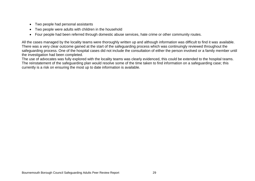- Two people had personal assistants
- Two people were adults with children in the household
- Four people had been referred through domestic abuse services, hate crime or other community routes.

All the cases managed by the locality teams were thoroughly written up and although information was difficult to find it was available. There was a very clear outcome gained at the start of the safeguarding process which was continuingly reviewed throughout the safeguarding process. One of the hospital cases did not include the consultation of either the person involved or a family member until the investigation had been completed.

The use of advocates was fully explored with the locality teams was clearly evidenced, this could be extended to the hospital teams. The reinstatement of the safeguarding plan would resolve some of the time taken to find information on a safeguarding case; this currently is a risk on ensuring the most up to date information is available.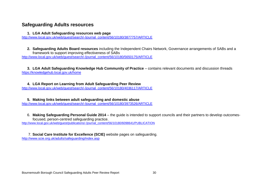## **Safeguarding Adults resources**

**1. LGA Adult Safeguarding resources web page**

[http://www.local.gov.uk/web/guest/search/-/journal\\_content/56/10180/3877757/ARTICLE](http://www.local.gov.uk/web/guest/search/-/journal_content/56/10180/3877757/ARTICLE)

**2. Safeguarding Adults Board resources** including the Independent Chairs Network, Governance arrangements of SABs and a framework to support improving effectiveness of SABs [http://www.local.gov.uk/web/guest/search/-/journal\\_content/56/10180/5650175/ARTICLE](http://www.local.gov.uk/web/guest/search/-/journal_content/56/10180/5650175/ARTICLE)

**3. LGA Adult Safeguarding Knowledge Hub Community of Practice** – contains relevant documents and discussion threads <https://knowledgehub.local.gov.uk/home>

#### **4. LGA Report on Learning from Adult Safeguarding Peer Review**

[http://www.local.gov.uk/web/guest/search/-/journal\\_content/56/10180/4036117/ARTICLE](http://www.local.gov.uk/web/guest/search/-/journal_content/56/10180/4036117/ARTICLE)

#### **5. Making links between adult safeguarding and domestic abuse** [http://www.local.gov.uk/web/guest/search/-/journal\\_content/56/10180/3973526/ARTICLE](http://www.local.gov.uk/web/guest/search/-/journal_content/56/10180/3973526/ARTICLE)

6. **Making Safeguarding Personal Guide 2014** – the guide is intended to support councils and their partners to develop outcomesfocused, person-centred safeguarding practice.

[http://www.local.gov.uk/web/guest/publications/-/journal\\_content/56/10180/6098641/PUBLICATION](http://www.local.gov.uk/web/guest/publications/-/journal_content/56/10180/6098641/PUBLICATION)

7. **Social Care Institute for Excellence (SCIE)** website pages on safeguarding. <http://www.scie.org.uk/adults/safeguarding/index.asp>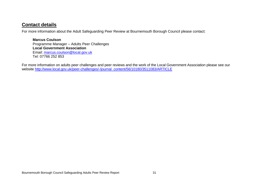## **Contact details**

For more information about the Adult Safeguarding Peer Review at Bournemouth Borough Council please contact:

**Marcus Coulson** Programme Manager – Adults Peer Challenges **Local Government Association** Email: [marcus.coulson@local.gov.uk](mailto:marcus.coulson@local.gov.uk) Tel: 07766 252 853

For more information on adults peer challenges and peer reviews and the work of the Local Government Association please see our website [http://www.local.gov.uk/peer-challenges/-/journal\\_content/56/10180/3511083/ARTICLE](http://www.local.gov.uk/peer-challenges/-/journal_content/56/10180/3511083/ARTICLE)